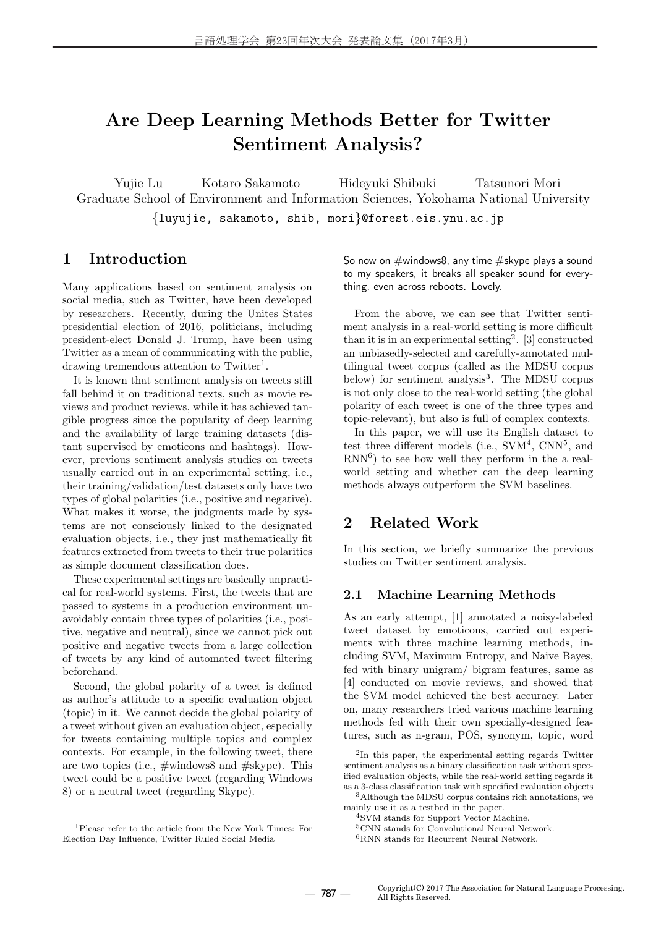# **Are Deep Learning Methods Better for Twitter Sentiment Analysis?**

Yujie Lu Kotaro Sakamoto Hideyuki Shibuki Tatsunori Mori Graduate School of Environment and Information Sciences, Yokohama National University *{*luyujie, sakamoto, shib, mori*}*@forest.eis.ynu.ac.jp

# **1 Introduction**

Many applications based on sentiment analysis on social media, such as Twitter, have been developed by researchers. Recently, during the Unites States presidential election of 2016, politicians, including president-elect Donald J. Trump, have been using Twitter as a mean of communicating with the public, drawing tremendous attention to Twitter<sup>1</sup>.

It is known that sentiment analysis on tweets still fall behind it on traditional texts, such as movie reviews and product reviews, while it has achieved tangible progress since the popularity of deep learning and the availability of large training datasets (distant supervised by emoticons and hashtags). However, previous sentiment analysis studies on tweets usually carried out in an experimental setting, i.e., their training/validation/test datasets only have two types of global polarities (i.e., positive and negative). What makes it worse, the judgments made by systems are not consciously linked to the designated evaluation objects, i.e., they just mathematically fit features extracted from tweets to their true polarities as simple document classification does.

These experimental settings are basically unpractical for real-world systems. First, the tweets that are passed to systems in a production environment unavoidably contain three types of polarities (i.e., positive, negative and neutral), since we cannot pick out positive and negative tweets from a large collection of tweets by any kind of automated tweet filtering beforehand.

Second, the global polarity of a tweet is defined as author's attitude to a specific evaluation object (topic) in it. We cannot decide the global polarity of a tweet without given an evaluation object, especially for tweets containing multiple topics and complex contexts. For example, in the following tweet, there are two topics (i.e., #windows8 and #skype). This tweet could be a positive tweet (regarding Windows 8) or a neutral tweet (regarding Skype).

So now on  $\#$ windows8, any time  $\#$ skype plays a sound to my speakers, it breaks all speaker sound for everything, even across reboots. Lovely.

From the above, we can see that Twitter sentiment analysis in a real-world setting is more difficult than it is in an experimental setting<sup>2</sup>. [3] constructed an unbiasedly-selected and carefully-annotated multilingual tweet corpus (called as the MDSU corpus below) for sentiment analysis<sup>3</sup>. The MDSU corpus is not only close to the real-world setting (the global polarity of each tweet is one of the three types and topic-relevant), but also is full of complex contexts.

In this paper, we will use its English dataset to test three different models (i.e.,  $\text{SVM}^4$ ,  $\text{CNN}^5$ , and  $RNN<sup>6</sup>$  to see how well they perform in the a realworld setting and whether can the deep learning methods always outperform the SVM baselines.

# **2 Related Work**

In this section, we briefly summarize the previous studies on Twitter sentiment analysis.

### **2.1 Machine Learning Methods**

As an early attempt, [1] annotated a noisy-labeled tweet dataset by emoticons, carried out experiments with three machine learning methods, including SVM, Maximum Entropy, and Naive Bayes, fed with binary unigram/ bigram features, same as [4] conducted on movie reviews, and showed that the SVM model achieved the best accuracy. Later on, many researchers tried various machine learning methods fed with their own specially-designed features, such as n-gram, POS, synonym, topic, word

<sup>1</sup>Please refer to the article from the New York Times: For Election Day Influence, Twitter Ruled Social Media

<sup>2</sup> In this paper, the experimental setting regards Twitter sentiment analysis as a binary classification task without specified evaluation objects, while the real-world setting regards it as a 3-class classification task with specified evaluation objects

<sup>3</sup>Although the MDSU corpus contains rich annotations, we mainly use it as a testbed in the paper.

<sup>4</sup>SVM stands for Support Vector Machine.

<sup>5</sup>CNN stands for Convolutional Neural Network.

 ${}^{6}\mathrm{RNN}$  stands for Recurrent Neural Network.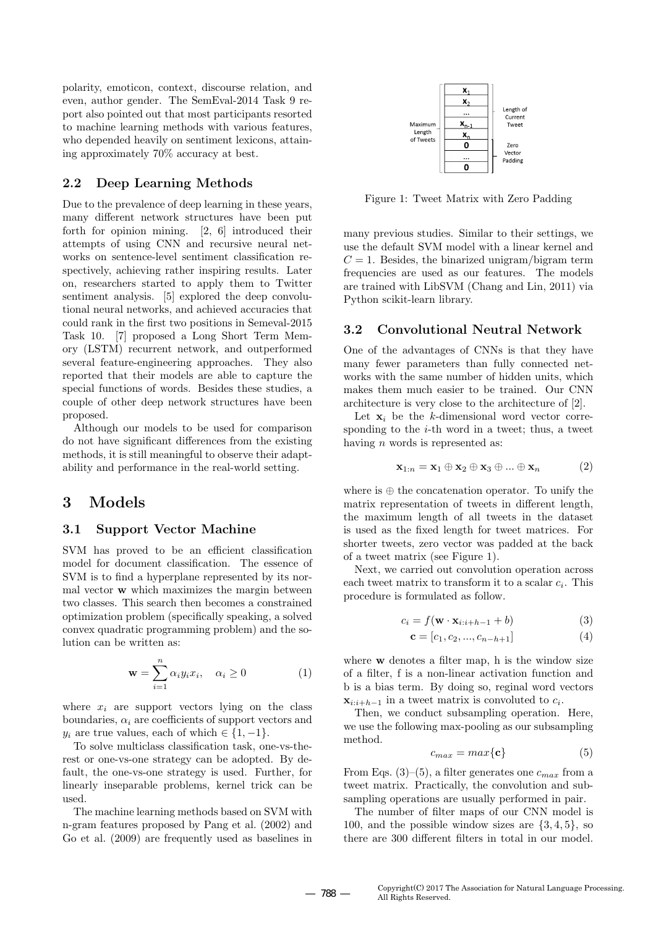polarity, emoticon, context, discourse relation, and even, author gender. The SemEval-2014 Task 9 report also pointed out that most participants resorted to machine learning methods with various features, who depended heavily on sentiment lexicons, attaining approximately 70% accuracy at best.

#### **2.2 Deep Learning Methods**

Due to the prevalence of deep learning in these years, many different network structures have been put forth for opinion mining. [2, 6] introduced their attempts of using CNN and recursive neural networks on sentence-level sentiment classification respectively, achieving rather inspiring results. Later on, researchers started to apply them to Twitter sentiment analysis. [5] explored the deep convolutional neural networks, and achieved accuracies that could rank in the first two positions in Semeval-2015 Task 10. [7] proposed a Long Short Term Memory (LSTM) recurrent network, and outperformed several feature-engineering approaches. They also reported that their models are able to capture the special functions of words. Besides these studies, a couple of other deep network structures have been proposed.

Although our models to be used for comparison do not have significant differences from the existing methods, it is still meaningful to observe their adaptability and performance in the real-world setting.

### **3 Models**

### **3.1 Support Vector Machine**

SVM has proved to be an efficient classification model for document classification. The essence of SVM is to find a hyperplane represented by its normal vector **w** which maximizes the margin between two classes. This search then becomes a constrained optimization problem (specifically speaking, a solved convex quadratic programming problem) and the solution can be written as:

$$
\mathbf{w} = \sum_{i=1}^{n} \alpha_i y_i x_i, \quad \alpha_i \ge 0 \tag{1}
$$

where  $x_i$  are support vectors lying on the class boundaries,  $\alpha_i$  are coefficients of support vectors and *y*<sub>*i*</sub> are true values, each of which  $\in \{1, -1\}$ .

To solve multiclass classification task, one-vs-therest or one-vs-one strategy can be adopted. By default, the one-vs-one strategy is used. Further, for linearly inseparable problems, kernel trick can be used.

The machine learning methods based on SVM with n-gram features proposed by Pang et al. (2002) and Go et al. (2009) are frequently used as baselines in



Figure 1: Tweet Matrix with Zero Padding

many previous studies. Similar to their settings, we use the default SVM model with a linear kernel and  $C = 1$ . Besides, the binarized unigram/bigram term frequencies are used as our features. The models are trained with LibSVM (Chang and Lin, 2011) via Python scikit-learn library.

#### **3.2 Convolutional Neutral Network**

One of the advantages of CNNs is that they have many fewer parameters than fully connected networks with the same number of hidden units, which makes them much easier to be trained. Our CNN architecture is very close to the architecture of [2].

Let  $\mathbf{x}_i$  be the *k*-dimensional word vector corresponding to the *i*-th word in a tweet; thus, a tweet having *n* words is represented as:

$$
\mathbf{x}_{1:n} = \mathbf{x}_1 \oplus \mathbf{x}_2 \oplus \mathbf{x}_3 \oplus \dots \oplus \mathbf{x}_n \tag{2}
$$

where is *⊕* the concatenation operator. To unify the matrix representation of tweets in different length, the maximum length of all tweets in the dataset is used as the fixed length for tweet matrices. For shorter tweets, zero vector was padded at the back of a tweet matrix (see Figure 1).

Next, we carried out convolution operation across each tweet matrix to transform it to a scalar *c<sup>i</sup>* . This procedure is formulated as follow.

$$
c_i = f(\mathbf{w} \cdot \mathbf{x}_{i:i+h-1} + b)
$$
 (3)

$$
\mathbf{c} = [c_1, c_2, ..., c_{n-h+1}] \tag{4}
$$

where **w** denotes a filter map, h is the window size of a filter, f is a non-linear activation function and b is a bias term. By doing so, reginal word vectors  $\mathbf{x}_{i:i+h-1}$  in a tweet matrix is convoluted to  $c_i$ .

Then, we conduct subsampling operation. Here, we use the following max-pooling as our subsampling method.

$$
c_{max} = max\{\mathbf{c}\}\tag{5}
$$

From Eqs.  $(3)$ – $(5)$ , a filter generates one  $c_{max}$  from a tweet matrix. Practically, the convolution and subsampling operations are usually performed in pair.

The number of filter maps of our CNN model is 100, and the possible window sizes are *{*3*,* 4*,* 5*}*, so there are 300 different filters in total in our model.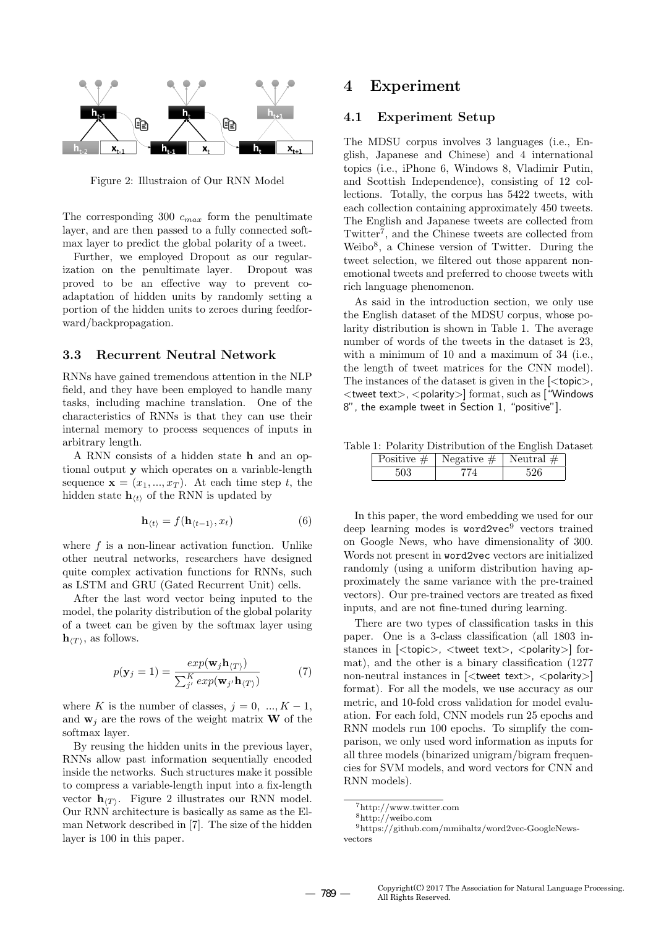

Figure 2: Illustraion of Our RNN Model

The corresponding 300 *cmax* form the penultimate layer, and are then passed to a fully connected softmax layer to predict the global polarity of a tweet.

Further, we employed Dropout as our regularization on the penultimate layer. Dropout was proved to be an effective way to prevent coadaptation of hidden units by randomly setting a portion of the hidden units to zeroes during feedforward/backpropagation.

#### **3.3 Recurrent Neutral Network**

RNNs have gained tremendous attention in the NLP field, and they have been employed to handle many tasks, including machine translation. One of the characteristics of RNNs is that they can use their internal memory to process sequences of inputs in arbitrary length.

A RNN consists of a hidden state **h** and an optional output **y** which operates on a variable-length sequence  $\mathbf{x} = (x_1, ..., x_T)$ . At each time step *t*, the hidden state  $\mathbf{h}_{\langle t \rangle}$  of the RNN is updated by

$$
\mathbf{h}_{\langle t \rangle} = f(\mathbf{h}_{\langle t-1 \rangle}, x_t) \tag{6}
$$

where  $f$  is a non-linear activation function. Unlike other neutral networks, researchers have designed quite complex activation functions for RNNs, such as LSTM and GRU (Gated Recurrent Unit) cells.

After the last word vector being inputed to the model, the polarity distribution of the global polarity of a tweet can be given by the softmax layer using  $\mathbf{h}_{\langle T \rangle}$ , as follows.

$$
p(\mathbf{y}_j = 1) = \frac{exp(\mathbf{w}_j \mathbf{h}_{\langle T \rangle})}{\sum_{j'}^{K} exp(\mathbf{w}_j \cdot \mathbf{h}_{\langle T \rangle})}
$$
(7)

where *K* is the number of classes,  $j = 0, ..., K - 1$ , and  $\mathbf{w}_i$  are the rows of the weight matrix **W** of the softmax layer.

By reusing the hidden units in the previous layer, RNNs allow past information sequentially encoded inside the networks. Such structures make it possible to compress a variable-length input into a fix-length vector **h***⟨T⟩* . Figure 2 illustrates our RNN model. Our RNN architecture is basically as same as the Elman Network described in [7]. The size of the hidden layer is 100 in this paper.

### **4 Experiment**

#### **4.1 Experiment Setup**

The MDSU corpus involves 3 languages (i.e., English, Japanese and Chinese) and 4 international topics (i.e., iPhone 6, Windows 8, Vladimir Putin, and Scottish Independence), consisting of 12 collections. Totally, the corpus has 5422 tweets, with each collection containing approximately 450 tweets. The English and Japanese tweets are collected from Twitter<sup>7</sup>, and the Chinese tweets are collected from Weibo<sup>8</sup> , a Chinese version of Twitter. During the tweet selection, we filtered out those apparent nonemotional tweets and preferred to choose tweets with rich language phenomenon.

As said in the introduction section, we only use the English dataset of the MDSU corpus, whose polarity distribution is shown in Table 1. The average number of words of the tweets in the dataset is 23, with a minimum of 10 and a maximum of 34 (i.e., the length of tweet matrices for the CNN model). The instances of the dataset is given in the [*<*topic*>*, *<*tweet text*>*, *<*polarity*>*] format, such as ["Windows 8", the example tweet in Section 1, "positive"].

Table 1: Polarity Distribution of the English Dataset Positive  $\# \, \mid$  Negative  $\# \, \mid$  Neutral  $\#$ 

|     | Positive $\#$   Negative $\#$   Neutral $\#$ |  |
|-----|----------------------------------------------|--|
| 503 |                                              |  |

In this paper, the word embedding we used for our deep learning modes is word2vec<sup>9</sup> vectors trained on Google News, who have dimensionality of 300. Words not present in word2vec vectors are initialized randomly (using a uniform distribution having approximately the same variance with the pre-trained vectors). Our pre-trained vectors are treated as fixed inputs, and are not fine-tuned during learning.

There are two types of classification tasks in this paper. One is a 3-class classification (all 1803 instances in [*<*topic*>*, *<*tweet text*>*, *<*polarity*>*] format), and the other is a binary classification (1277 non-neutral instances in [*<*tweet text*>*, *<*polarity*>*] format). For all the models, we use accuracy as our metric, and 10-fold cross validation for model evaluation. For each fold, CNN models run 25 epochs and RNN models run 100 epochs. To simplify the comparison, we only used word information as inputs for all three models (binarized unigram/bigram frequencies for SVM models, and word vectors for CNN and RNN models).

<sup>7</sup>http://www.twitter.com

<sup>8</sup>http://weibo.com

<sup>9</sup>https://github.com/mmihaltz/word2vec-GoogleNewsvectors